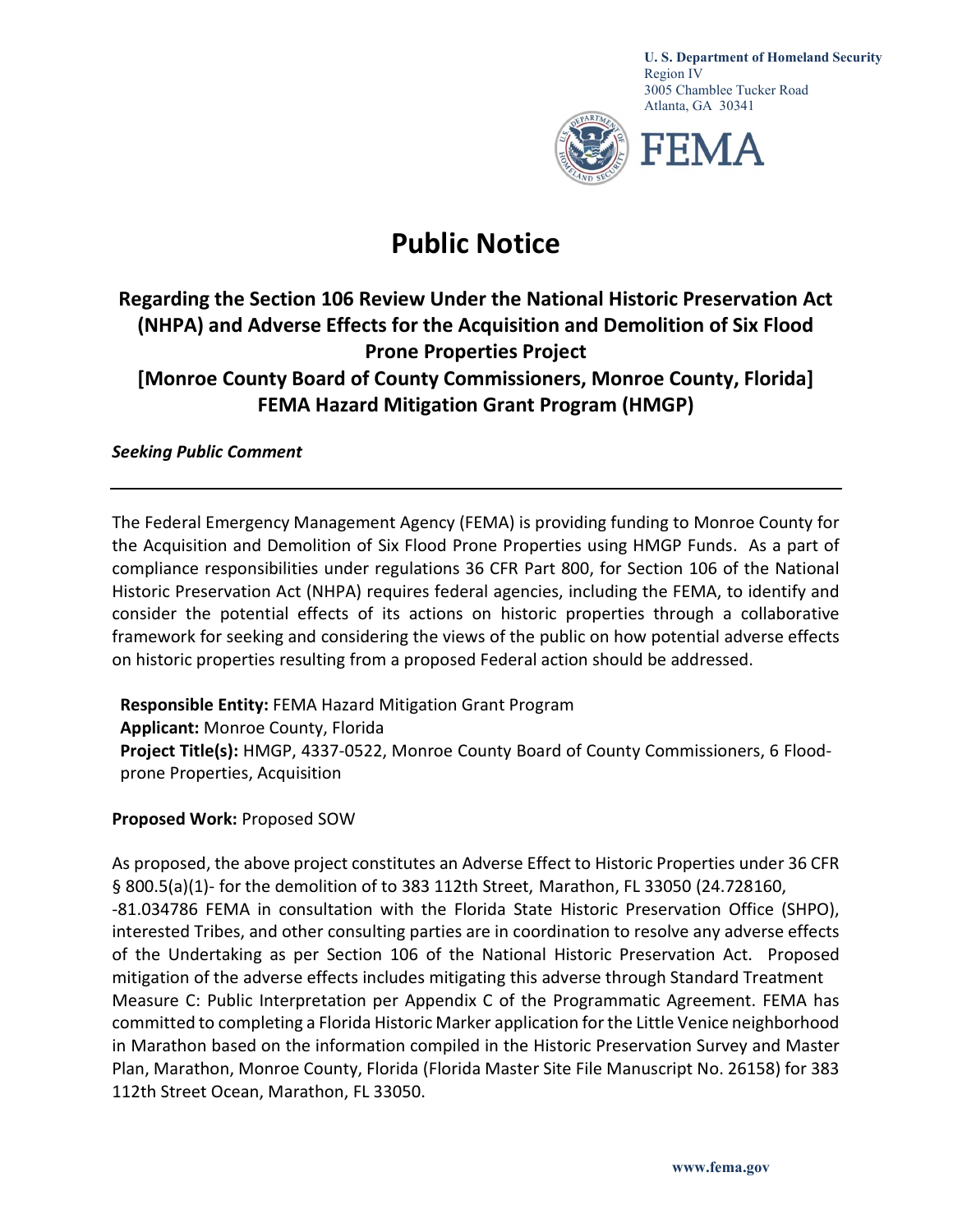

U. S. Department of Homeland Security Region IV 3005 Chamblee Tucker Road Atlanta, GA 30341



## Public Notice

## Regarding the Section 106 Review Under the National Historic Preservation Act (NHPA) and Adverse Effects for the Acquisition and Demolition of Six Flood Prone Properties Project [Monroe County Board of County Commissioners, Monroe County, Florida] FEMA Hazard Mitigation Grant Program (HMGP)

Seeking Public Comment

The Federal Emergency Management Agency (FEMA) is providing funding to Monroe County for the Acquisition and Demolition of Six Flood Prone Properties using HMGP Funds. As a part of compliance responsibilities under regulations 36 CFR Part 800, for Section 106 of the National Historic Preservation Act (NHPA) requires federal agencies, including the FEMA, to identify and consider the potential effects of its actions on historic properties through a collaborative framework for seeking and considering the views of the public on how potential adverse effects on historic properties resulting from a proposed Federal action should be addressed.

Responsible Entity: FEMA Hazard Mitigation Grant Program

Applicant: Monroe County, Florida Project Title(s): HMGP, 4337-0522, Monroe County Board of County Commissioners, 6 Floodprone Properties, Acquisition

## Proposed Work: Proposed SOW

As proposed, the above project constitutes an Adverse Effect to Historic Properties under 36 CFR § 800.5(a)(1)- for the demolition of to 383 112th Street, Marathon, FL 33050 (24.728160, -81.034786 FEMA in consultation with the Florida State Historic Preservation Office (SHPO), interested Tribes, and other consulting parties are in coordination to resolve any adverse effects of the Undertaking as per Section 106 of the National Historic Preservation Act. Proposed mitigation of the adverse effects includes mitigating this adverse through Standard Treatment Measure C: Public Interpretation per Appendix C of the Programmatic Agreement. FEMA has committed to completing a Florida Historic Marker application for the Little Venice neighborhood in Marathon based on the information compiled in the Historic Preservation Survey and Master Plan, Marathon, Monroe County, Florida (Florida Master Site File Manuscript No. 26158) for 383 112th Street Ocean, Marathon, FL 33050.